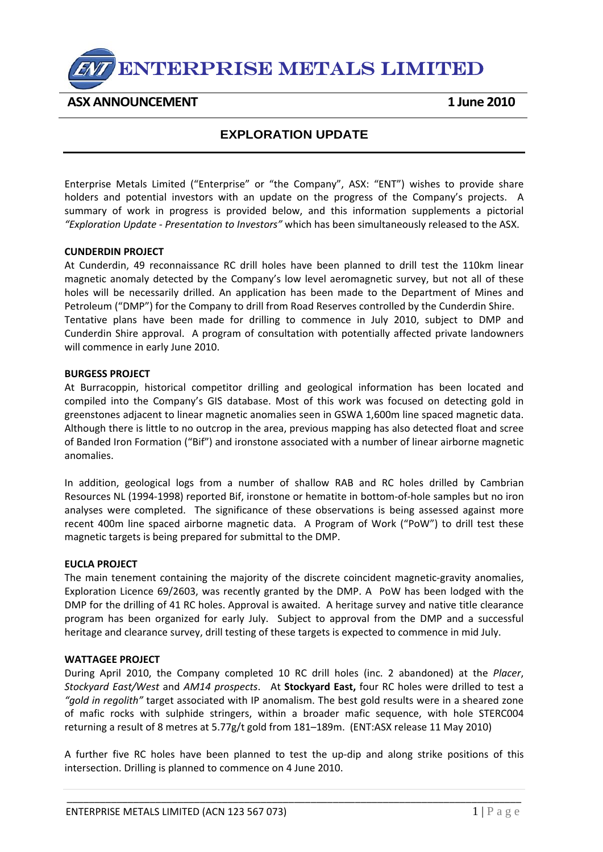ENTERPRISE METALS LIMITED

**ASX ANNOUNCEMENT 1 June 2010** 

# **EXPLORATION UPDATE**

Enterprise Metals Limited ("Enterprise" or "the Company", ASX: "ENT") wishes to provide share holders and potential investors with an update on the progress of the Company's projects. A summary of work in progress is provided below, and this information supplements a pictorial *"Exploration Update ‐ Presentation to Investors"* which has been simultaneously released to the ASX.

## **CUNDERDIN PROJECT**

At Cunderdin, 49 reconnaissance RC drill holes have been planned to drill test the 110km linear magnetic anomaly detected by the Company's low level aeromagnetic survey, but not all of these holes will be necessarily drilled. An application has been made to the Department of Mines and Petroleum ("DMP") for the Company to drill from Road Reserves controlled by the Cunderdin Shire. Tentative plans have been made for drilling to commence in July 2010, subject to DMP and Cunderdin Shire approval. A program of consultation with potentially affected private landowners will commence in early June 2010.

## **BURGESS PROJECT**

At Burracoppin, historical competitor drilling and geological information has been located and compiled into the Company's GIS database. Most of this work was focused on detecting gold in greenstones adjacent to linear magnetic anomalies seen in GSWA 1,600m line spaced magnetic data. Although there is little to no outcrop in the area, previous mapping has also detected float and scree of Banded Iron Formation ("Bif") and ironstone associated with a number of linear airborne magnetic anomalies.

In addition, geological logs from a number of shallow RAB and RC holes drilled by Cambrian Resources NL (1994‐1998) reported Bif, ironstone or hematite in bottom‐of‐hole samples but no iron analyses were completed. The significance of these observations is being assessed against more recent 400m line spaced airborne magnetic data. A Program of Work ("PoW") to drill test these magnetic targets is being prepared for submittal to the DMP.

#### **EUCLA PROJECT**

The main tenement containing the majority of the discrete coincident magnetic‐gravity anomalies, Exploration Licence 69/2603, was recently granted by the DMP. A PoW has been lodged with the DMP for the drilling of 41 RC holes. Approval is awaited. A heritage survey and native title clearance program has been organized for early July. Subject to approval from the DMP and a successful heritage and clearance survey, drill testing of these targets is expected to commence in mid July.

# **WATTAGEE PROJECT**

During April 2010, the Company completed 10 RC drill holes (inc. 2 abandoned) at the *Placer*, *Stockyard East/West* and *AM14 prospects*. At **Stockyard East,** four RC holes were drilled to test a *"gold in regolith"* target associated with IP anomalism. The best gold results were in a sheared zone of mafic rocks with sulphide stringers, within a broader mafic sequence, with hole STERC004 returning a result of 8 metres at 5.77g/t gold from 181–189m. (ENT:ASX release 11 May 2010)

A further five RC holes have been planned to test the up‐dip and along strike positions of this intersection. Drilling is planned to commence on 4 June 2010.

\_\_\_\_\_\_\_\_\_\_\_\_\_\_\_\_\_\_\_\_\_\_\_\_\_\_\_\_\_\_\_\_\_\_\_\_\_\_\_\_\_\_\_\_\_\_\_\_\_\_\_\_\_\_\_\_\_\_\_\_\_\_\_\_\_\_\_\_\_\_\_\_\_\_\_\_\_\_\_\_\_\_